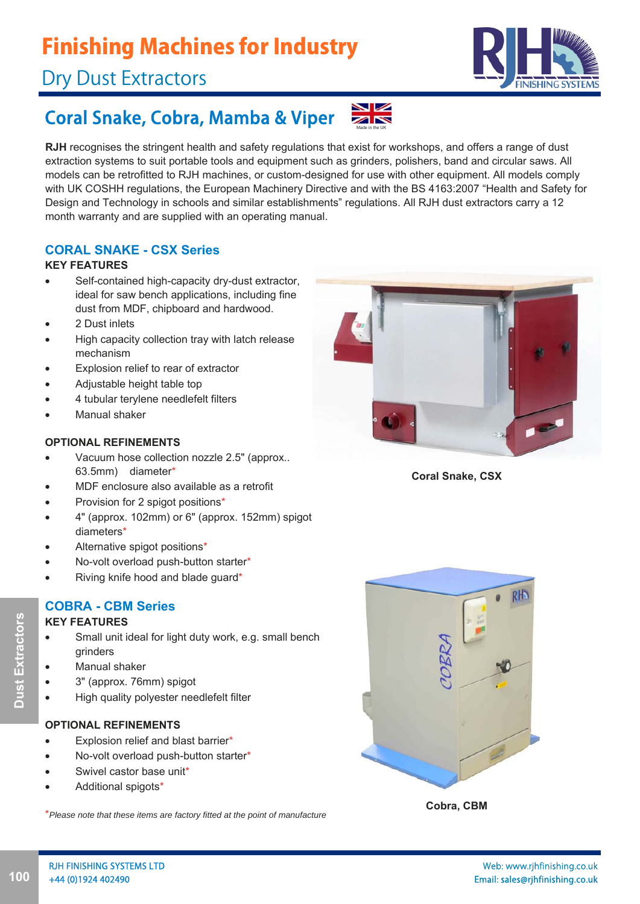# Finishing Machines for Industry

# Dry Dust Extractors



# Coral Snake, Cobra, Mamba & Viper

**RJH** recognises the stringent health and safety regulations that exist for workshops, and offers a range of dust extraction systems to suit portable tools and equipment such as grinders, polishers, band and circular saws. All models can be retrofitted to RJH machines, or custom-designed for use with other equipment. All models comply with UK COSHH regulations, the European Machinery Directive and with the BS 4163:2007 "Health and Safety for Design and Technology in schools and similar establishments" regulations. All RJH dust extractors carry a 12 month warranty and are supplied with an operating manual.

Made in the UK

 $\overline{\mathbb{Z}}$ 

### **CORAL SNAKE - CSX Series**

### **KEY FEATURES**

- Self-contained high-capacity dry-dust extractor, ideal for saw bench applications, including fine dust from MDF, chipboard and hardwood.
- 2 Dust inlets
- High capacity collection tray with latch release mechanism
- Explosion relief to rear of extractor
- Adjustable height table top
- 4 tubular terylene needlefelt filters
- Manual shaker

### **OPTIONAL REFINEMENTS**

- Vacuum hose collection nozzle 2.5" (approx.. 63.5mm) diameter\*
- MDF enclosure also available as a retrofit
- Provision for 2 spigot positions\*
- 4" (approx. 102mm) or 6" (approx. 152mm) spigot diameters\*
- Alternative spigot positions\*
- No-volt overload push-button starter\*
- Riving knife hood and blade guard\*

### **COBRA - CBM Series**

### **KEY FEATURES**

- Small unit ideal for light duty work, e.g. small bench grinders
- Manual shaker
- 3" (approx. 76mm) spigot
- High quality polyester needlefelt filter

### **OPTIONAL REFINEMENTS**

- Explosion relief and blast barrier\*
- No-volt overload push-button starter\*
- Swivel castor base unit\*
- Additional spigots\*

\**Please note that these items are factory fitted at the point of manufacture*



**Coral Snake, CSX**



**Cobra, CBM**

**100 Dust Extractors** 100